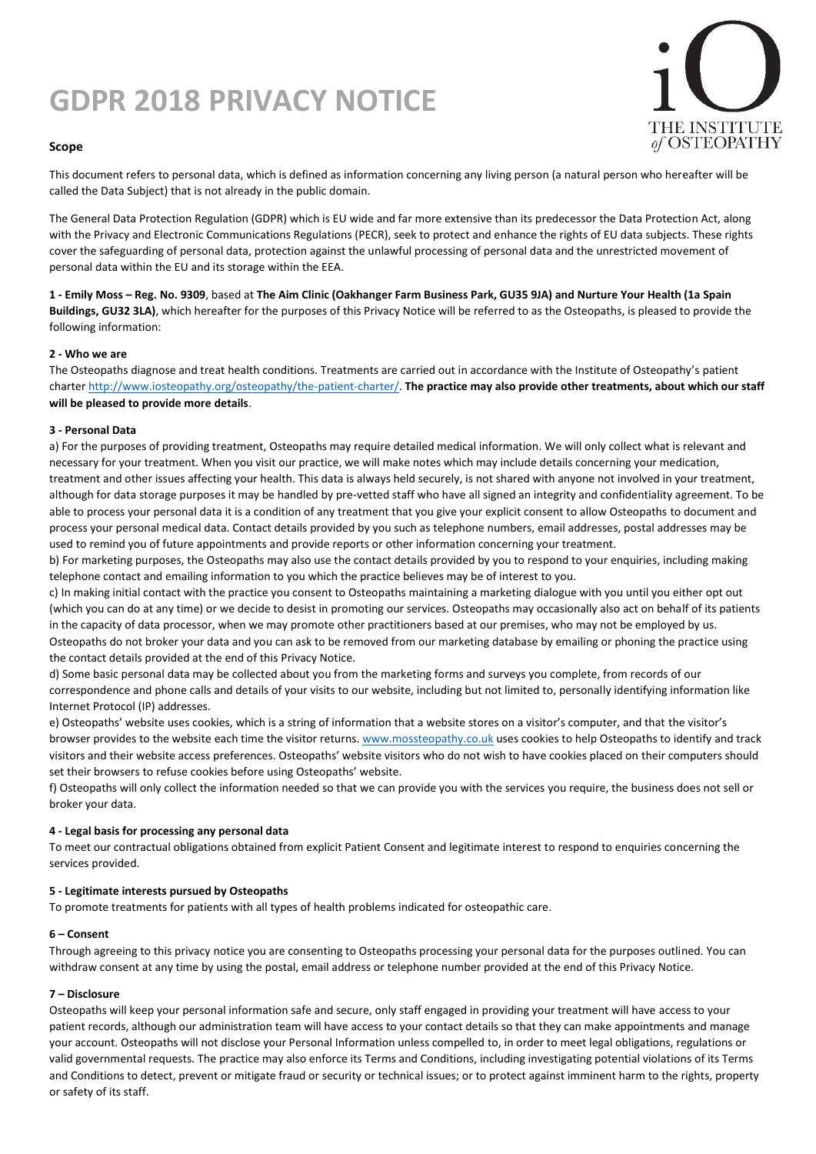# **GDPR 2018 PRIVACY NOTICE**



## **Scope**

This document refers to personal data, which is defined as information concerning any living person (a natural person who hereafter will be called the Data Subject) that is not already in the public domain.

The General Data Protection Regulation (GDPR) which is EU wide and far more extensive than its predecessor the Data Protection Act, along with the Privacy and Electronic Communications Regulations (PECR), seek to protect and enhance the rights of EU data subjects. These rights cover the safeguarding of personal data, protection against the unlawful processing of personal data and the unrestricted movement of personal data within the EU and its storage within the EEA.

**1 - Emily Moss – Reg. No. 9309**, based at **The Aim Clinic (Oakhanger Farm Business Park, GU35 9JA) and Nurture Your Health (1a Spain Buildings, GU32 3LA)**, which hereafter for the purposes of this Privacy Notice will be referred to as the Osteopaths, is pleased to provide the following information:

### **2 - Who we are**

The Osteopaths diagnose and treat health conditions. Treatments are carried out in accordance with the Institute of Osteopathy's patient charte[r http://www.iosteopathy.org/osteopathy/the-patient-charter/.](http://www.iosteopathy.org/osteopathy/the-patient-charter/) **The practice may also provide other treatments, about which our staff will be pleased to provide more details**.

#### **3 - Personal Data**

a) For the purposes of providing treatment, Osteopaths may require detailed medical information. We will only collect what is relevant and necessary for your treatment. When you visit our practice, we will make notes which may include details concerning your medication, treatment and other issues affecting your health. This data is always held securely, is not shared with anyone not involved in your treatment, although for data storage purposes it may be handled by pre-vetted staff who have all signed an integrity and confidentiality agreement. To be able to process your personal data it is a condition of any treatment that you give your explicit consent to allow Osteopaths to document and process your personal medical data. Contact details provided by you such as telephone numbers, email addresses, postal addresses may be used to remind you of future appointments and provide reports or other information concerning your treatment.

b) For marketing purposes, the Osteopaths may also use the contact details provided by you to respond to your enquiries, including making telephone contact and emailing information to you which the practice believes may be of interest to you.

c) In making initial contact with the practice you consent to Osteopaths maintaining a marketing dialogue with you until you either opt out (which you can do at any time) or we decide to desist in promoting our services. Osteopaths may occasionally also act on behalf of its patients in the capacity of data processor, when we may promote other practitioners based at our premises, who may not be employed by us. Osteopaths do not broker your data and you can ask to be removed from our marketing database by emailing or phoning the practice using the contact details provided at the end of this Privacy Notice.

d) Some basic personal data may be collected about you from the marketing forms and surveys you complete, from records of our correspondence and phone calls and details of your visits to our website, including but not limited to, personally identifying information like Internet Protocol (IP) addresses.

e) Osteopaths' website uses cookies, which is a string of information that a website stores on a visitor's computer, and that the visitor's browser provides to the website each time the visitor returns[. www.mossteopathy.co.uk](http://www.mossteopathy.co.uk/) uses cookies to help Osteopaths to identify and track visitors and their website access preferences. Osteopaths' website visitors who do not wish to have cookies placed on their computers should set their browsers to refuse cookies before using Osteopaths' website.

f) Osteopaths will only collect the information needed so that we can provide you with the services you require, the business does not sell or broker your data.

## **4 - Legal basis for processing any personal data**

To meet our contractual obligations obtained from explicit Patient Consent and legitimate interest to respond to enquiries concerning the services provided.

### **5 - Legitimate interests pursued by Osteopaths**

To promote treatments for patients with all types of health problems indicated for osteopathic care.

### **6 – Consent**

Through agreeing to this privacy notice you are consenting to Osteopaths processing your personal data for the purposes outlined. You can withdraw consent at any time by using the postal, email address or telephone number provided at the end of this Privacy Notice.

### **7 – Disclosure**

Osteopaths will keep your personal information safe and secure, only staff engaged in providing your treatment will have access to your patient records, although our administration team will have access to your contact details so that they can make appointments and manage your account. Osteopaths will not disclose your Personal Information unless compelled to, in order to meet legal obligations, regulations or valid governmental requests. The practice may also enforce its Terms and Conditions, including investigating potential violations of its Terms and Conditions to detect, prevent or mitigate fraud or security or technical issues; or to protect against imminent harm to the rights, property or safety of its staff.